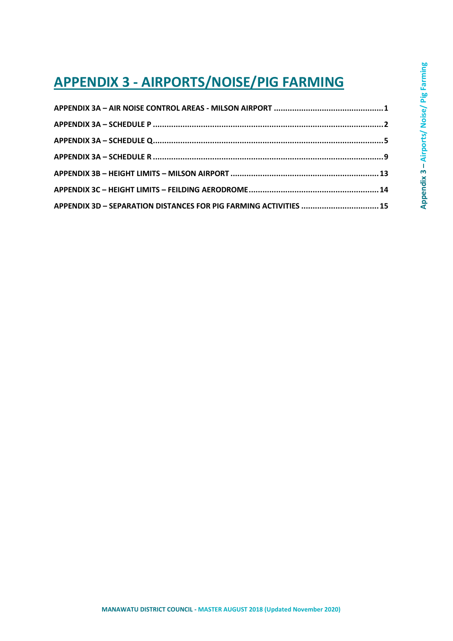# **APPENDIX 3 - AIRPORTS/NOISE/PIG FARMING**

| APPENDIX 3D - SEPARATION DISTANCES FOR PIG FARMING ACTIVITIES  15 |  |
|-------------------------------------------------------------------|--|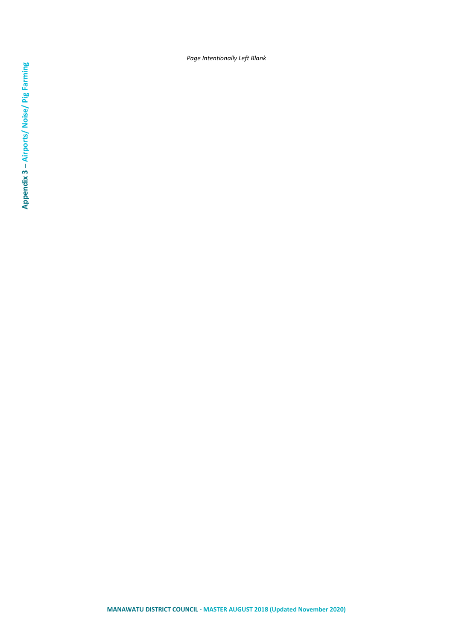*Page Intentionally Left Blank*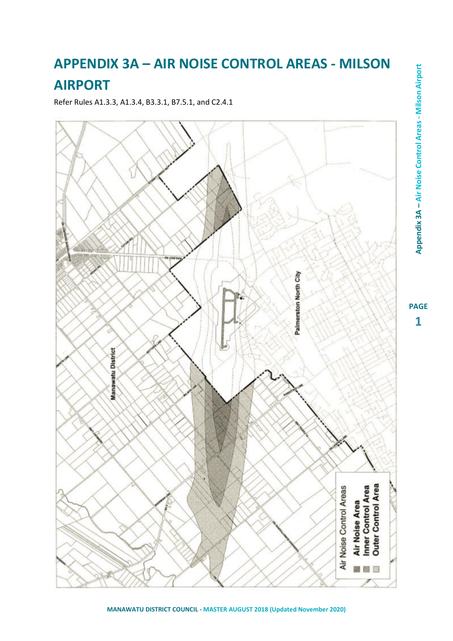# <span id="page-2-0"></span>**APPENDIX 3A – AIR NOISE CONTROL AREAS - MILSON**

# **AIRPORT**

Refer Rules A1.3.3, A1.3.4, B3.3.1, B7.5.1, and C2.4.1

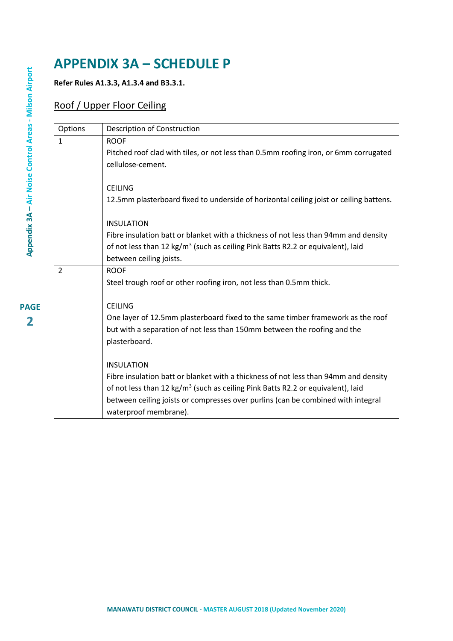# <span id="page-3-0"></span>**APPENDIX 3A – SCHEDULE P**

#### **Refer Rules A1.3.3, A1.3.4 and B3.3.1.**

#### Roof / Upper Floor Ceiling

| Options        | Description of Construction                                                                 |
|----------------|---------------------------------------------------------------------------------------------|
| $\mathbf{1}$   | <b>ROOF</b>                                                                                 |
|                | Pitched roof clad with tiles, or not less than 0.5mm roofing iron, or 6mm corrugated        |
|                | cellulose-cement.                                                                           |
|                | <b>CEILING</b>                                                                              |
|                | 12.5mm plasterboard fixed to underside of horizontal ceiling joist or ceiling battens.      |
|                | <b>INSULATION</b>                                                                           |
|                | Fibre insulation batt or blanket with a thickness of not less than 94mm and density         |
|                | of not less than 12 kg/m <sup>3</sup> (such as ceiling Pink Batts R2.2 or equivalent), laid |
|                | between ceiling joists.                                                                     |
| $\overline{2}$ | <b>ROOF</b>                                                                                 |
|                | Steel trough roof or other roofing iron, not less than 0.5mm thick.                         |
|                | <b>CEILING</b>                                                                              |
|                | One layer of 12.5mm plasterboard fixed to the same timber framework as the roof             |
|                | but with a separation of not less than 150mm between the roofing and the                    |
|                | plasterboard.                                                                               |
|                | <b>INSULATION</b>                                                                           |
|                | Fibre insulation batt or blanket with a thickness of not less than 94mm and density         |
|                | of not less than 12 kg/m <sup>3</sup> (such as ceiling Pink Batts R2.2 or equivalent), laid |
|                | between ceiling joists or compresses over purlins (can be combined with integral            |
|                | waterproof membrane).                                                                       |

**PAGE**  $\overline{2}$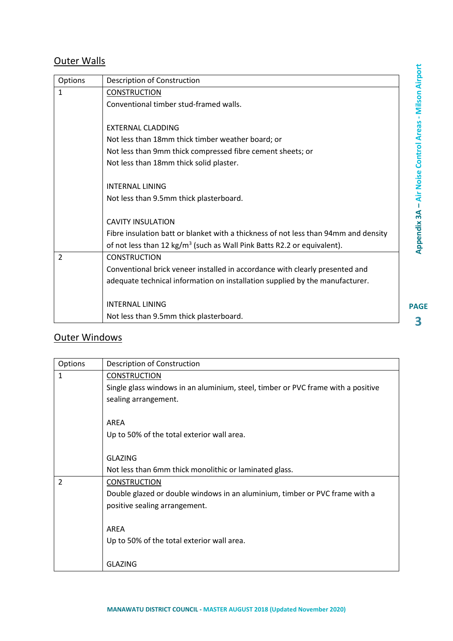#### Outer Walls

| Options        | Description of Construction                                                         |
|----------------|-------------------------------------------------------------------------------------|
| $\mathbf{1}$   | <b>CONSTRUCTION</b>                                                                 |
|                | Conventional timber stud-framed walls.                                              |
|                |                                                                                     |
|                | EXTERNAL CLADDING                                                                   |
|                | Not less than 18mm thick timber weather board; or                                   |
|                | Not less than 9mm thick compressed fibre cement sheets; or                          |
|                | Not less than 18mm thick solid plaster.                                             |
|                |                                                                                     |
|                | <b>INTERNAL LINING</b>                                                              |
|                | Not less than 9.5mm thick plasterboard.                                             |
|                |                                                                                     |
|                | <b>CAVITY INSULATION</b>                                                            |
|                | Fibre insulation batt or blanket with a thickness of not less than 94mm and density |
|                | of not less than 12 $\text{kg/m}^3$ (such as Wall Pink Batts R2.2 or equivalent).   |
| $\overline{2}$ | <b>CONSTRUCTION</b>                                                                 |
|                | Conventional brick veneer installed in accordance with clearly presented and        |
|                | adequate technical information on installation supplied by the manufacturer.        |
|                |                                                                                     |
|                | <b>INTERNAL LINING</b>                                                              |
|                | Not less than 9.5mm thick plasterboard.                                             |

#### Outer Windows

| Options       | Description of Construction                                                      |
|---------------|----------------------------------------------------------------------------------|
| 1             | <b>CONSTRUCTION</b>                                                              |
|               | Single glass windows in an aluminium, steel, timber or PVC frame with a positive |
|               | sealing arrangement.                                                             |
|               |                                                                                  |
|               | AREA                                                                             |
|               | Up to 50% of the total exterior wall area.                                       |
|               |                                                                                  |
|               | <b>GLAZING</b>                                                                   |
|               | Not less than 6mm thick monolithic or laminated glass.                           |
| $\mathcal{P}$ | <b>CONSTRUCTION</b>                                                              |
|               | Double glazed or double windows in an aluminium, timber or PVC frame with a      |
|               | positive sealing arrangement.                                                    |
|               |                                                                                  |
|               | AREA                                                                             |
|               | Up to 50% of the total exterior wall area.                                       |
|               |                                                                                  |
|               | <b>GLAZING</b>                                                                   |

**PAGE 3**

**MANAWATU DISTRICT COUNCIL - MASTER AUGUST 2018 (Updated November 2020)**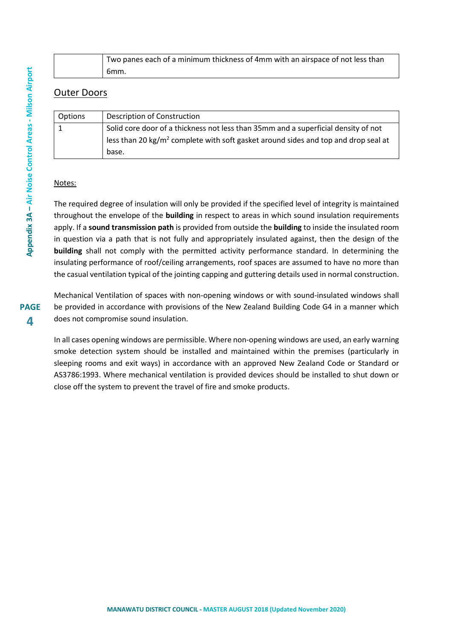| Two panes each of a minimum thickness of 4mm with an airspace of not less than |
|--------------------------------------------------------------------------------|
| 6mm.                                                                           |

#### Outer Doors

| Options | <b>Description of Construction</b>                                                             |
|---------|------------------------------------------------------------------------------------------------|
|         | Solid core door of a thickness not less than 35mm and a superficial density of not             |
|         | less than 20 kg/m <sup>2</sup> complete with soft gasket around sides and top and drop seal at |
|         | base.                                                                                          |

#### Notes:

The required degree of insulation will only be provided if the specified level of integrity is maintained throughout the envelope of the **building** in respect to areas in which sound insulation requirements apply. If a **sound transmission path** is provided from outside the **building** to inside the insulated room in question via a path that is not fully and appropriately insulated against, then the design of the **building** shall not comply with the permitted activity performance standard. In determining the insulating performance of roof/ceiling arrangements, roof spaces are assumed to have no more than the casual ventilation typical of the jointing capping and guttering details used in normal construction.

Mechanical Ventilation of spaces with non-opening windows or with sound-insulated windows shall be provided in accordance with provisions of the New Zealand Building Code G4 in a manner which does not compromise sound insulation.

In all cases opening windows are permissible. Where non-opening windows are used, an early warning smoke detection system should be installed and maintained within the premises (particularly in sleeping rooms and exit ways) in accordance with an approved New Zealand Code or Standard or AS3786:1993. Where mechanical ventilation is provided devices should be installed to shut down or close off the system to prevent the travel of fire and smoke products.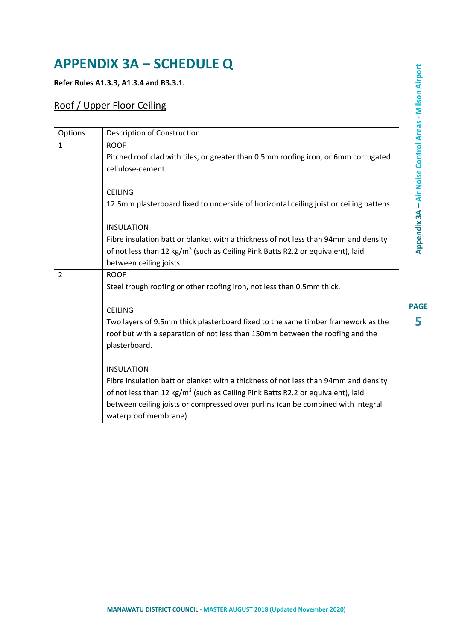# **Appendix 3A – Air Noise Control Areas - Milson Airport**

# <span id="page-6-0"></span>**APPENDIX 3A – SCHEDULE Q**

#### **Refer Rules A1.3.3, A1.3.4 and B3.3.1.**

#### Roof / Upper Floor Ceiling

| Options        | Description of Construction                                                                 |
|----------------|---------------------------------------------------------------------------------------------|
| $\mathbf{1}$   | <b>ROOF</b>                                                                                 |
|                | Pitched roof clad with tiles, or greater than 0.5mm roofing iron, or 6mm corrugated         |
|                | cellulose-cement.                                                                           |
|                |                                                                                             |
|                | <b>CEILING</b>                                                                              |
|                | 12.5mm plasterboard fixed to underside of horizontal ceiling joist or ceiling battens.      |
|                | <b>INSULATION</b>                                                                           |
|                |                                                                                             |
|                | Fibre insulation batt or blanket with a thickness of not less than 94mm and density         |
|                | of not less than 12 kg/m <sup>3</sup> (such as Ceiling Pink Batts R2.2 or equivalent), laid |
|                | between ceiling joists.                                                                     |
| $\overline{2}$ | <b>ROOF</b>                                                                                 |
|                | Steel trough roofing or other roofing iron, not less than 0.5mm thick.                      |
|                | <b>CEILING</b>                                                                              |
|                | Two layers of 9.5mm thick plasterboard fixed to the same timber framework as the            |
|                | roof but with a separation of not less than 150mm between the roofing and the               |
|                | plasterboard.                                                                               |
|                |                                                                                             |
|                | <b>INSULATION</b>                                                                           |
|                | Fibre insulation batt or blanket with a thickness of not less than 94mm and density         |
|                | of not less than 12 kg/m <sup>3</sup> (such as Ceiling Pink Batts R2.2 or equivalent), laid |
|                | between ceiling joists or compressed over purlins (can be combined with integral            |
|                | waterproof membrane).                                                                       |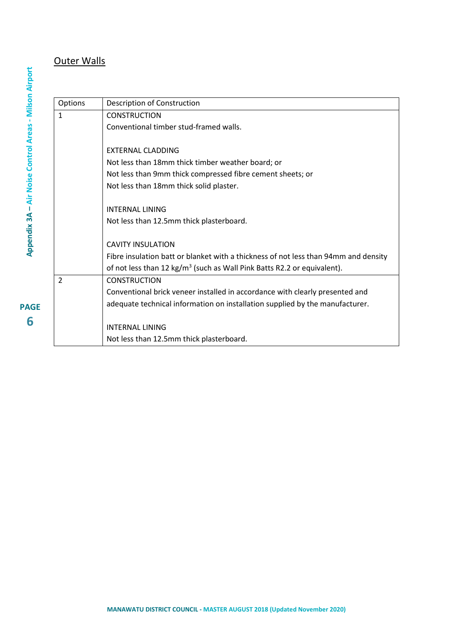#### Outer Walls

| Options        | Description of Construction                                                         |
|----------------|-------------------------------------------------------------------------------------|
| $\mathbf{1}$   | <b>CONSTRUCTION</b>                                                                 |
|                | Conventional timber stud-framed walls.                                              |
|                |                                                                                     |
|                | <b>EXTERNAL CLADDING</b>                                                            |
|                | Not less than 18mm thick timber weather board; or                                   |
|                | Not less than 9mm thick compressed fibre cement sheets; or                          |
|                | Not less than 18mm thick solid plaster.                                             |
|                |                                                                                     |
|                | <b>INTERNAL LINING</b>                                                              |
|                | Not less than 12.5mm thick plasterboard.                                            |
|                |                                                                                     |
|                | <b>CAVITY INSULATION</b>                                                            |
|                | Fibre insulation batt or blanket with a thickness of not less than 94mm and density |
|                | of not less than 12 kg/m <sup>3</sup> (such as Wall Pink Batts R2.2 or equivalent). |
| $\overline{2}$ | <b>CONSTRUCTION</b>                                                                 |
|                | Conventional brick veneer installed in accordance with clearly presented and        |
|                | adequate technical information on installation supplied by the manufacturer.        |
|                |                                                                                     |
|                | <b>INTERNAL LINING</b>                                                              |
|                | Not less than 12.5mm thick plasterboard.                                            |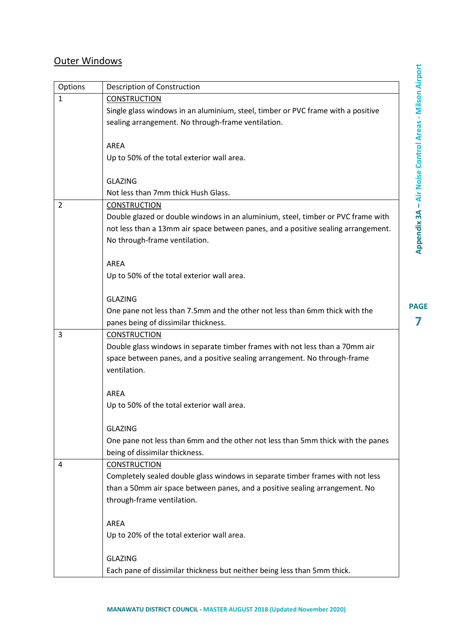#### Outer Windows

| Options        | Description of Construction                                                       |    |
|----------------|-----------------------------------------------------------------------------------|----|
| 1              | CONSTRUCTION                                                                      |    |
|                | Single glass windows in an aluminium, steel, timber or PVC frame with a positive  |    |
|                | sealing arrangement. No through-frame ventilation.                                |    |
|                |                                                                                   |    |
|                | <b>AREA</b>                                                                       |    |
|                | Up to 50% of the total exterior wall area.                                        |    |
|                |                                                                                   |    |
|                | <b>GLAZING</b>                                                                    |    |
|                | Not less than 7mm thick Hush Glass.                                               |    |
| $\overline{2}$ | CONSTRUCTION                                                                      |    |
|                | Double glazed or double windows in an aluminium, steel, timber or PVC frame with  |    |
|                | not less than a 13mm air space between panes, and a positive sealing arrangement. |    |
|                | No through-frame ventilation.                                                     |    |
|                |                                                                                   |    |
|                | AREA                                                                              |    |
|                | Up to 50% of the total exterior wall area.                                        |    |
|                |                                                                                   |    |
|                | <b>GLAZING</b>                                                                    | PA |
|                | One pane not less than 7.5mm and the other not less than 6mm thick with the       |    |
|                | panes being of dissimilar thickness.                                              |    |
| 3              | <b>CONSTRUCTION</b>                                                               |    |
|                | Double glass windows in separate timber frames with not less than a 70mm air      |    |
|                | space between panes, and a positive sealing arrangement. No through-frame         |    |
|                | ventilation.                                                                      |    |
|                |                                                                                   |    |
|                | <b>AREA</b>                                                                       |    |
|                | Up to 50% of the total exterior wall area.                                        |    |
|                | <b>GLAZING</b>                                                                    |    |
|                | One pane not less than 6mm and the other not less than 5mm thick with the panes   |    |
|                | being of dissimilar thickness.                                                    |    |
| 4              | <b>CONSTRUCTION</b>                                                               |    |
|                | Completely sealed double glass windows in separate timber frames with not less    |    |
|                | than a 50mm air space between panes, and a positive sealing arrangement. No       |    |
|                | through-frame ventilation.                                                        |    |
|                |                                                                                   |    |
|                | AREA                                                                              |    |
|                | Up to 20% of the total exterior wall area.                                        |    |
|                |                                                                                   |    |
|                | <b>GLAZING</b>                                                                    |    |
|                | Each pane of dissimilar thickness but neither being less than 5mm thick.          |    |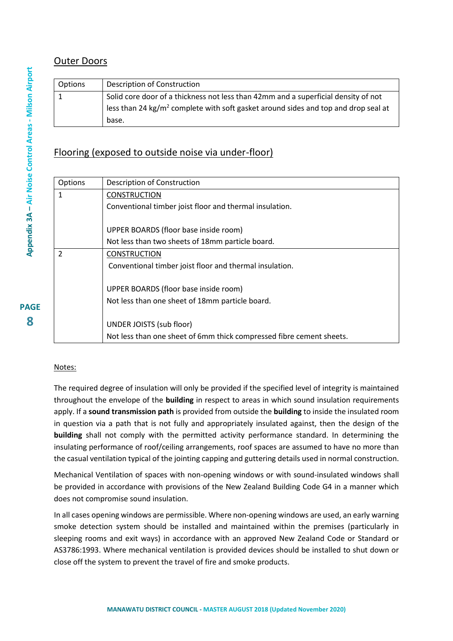#### Outer Doors

| Options | <b>Description of Construction</b>                                                     |
|---------|----------------------------------------------------------------------------------------|
|         | Solid core door of a thickness not less than 42mm and a superficial density of not     |
|         | less than 24 kg/ $m^2$ complete with soft gasket around sides and top and drop seal at |
|         | base.                                                                                  |

#### Flooring (exposed to outside noise via under-floor)

| Options        | Description of Construction                                          |
|----------------|----------------------------------------------------------------------|
| 1              | <b>CONSTRUCTION</b>                                                  |
|                | Conventional timber joist floor and thermal insulation.              |
|                |                                                                      |
|                | UPPER BOARDS (floor base inside room)                                |
|                | Not less than two sheets of 18mm particle board.                     |
| $\overline{2}$ | <b>CONSTRUCTION</b>                                                  |
|                | Conventional timber joist floor and thermal insulation.              |
|                |                                                                      |
|                | UPPER BOARDS (floor base inside room)                                |
|                | Not less than one sheet of 18mm particle board.                      |
|                |                                                                      |
|                | UNDER JOISTS (sub floor)                                             |
|                | Not less than one sheet of 6mm thick compressed fibre cement sheets. |

#### Notes:

The required degree of insulation will only be provided if the specified level of integrity is maintained throughout the envelope of the **building** in respect to areas in which sound insulation requirements apply. If a **sound transmission path** is provided from outside the **building** to inside the insulated room in question via a path that is not fully and appropriately insulated against, then the design of the **building** shall not comply with the permitted activity performance standard. In determining the insulating performance of roof/ceiling arrangements, roof spaces are assumed to have no more than the casual ventilation typical of the jointing capping and guttering details used in normal construction.

Mechanical Ventilation of spaces with non-opening windows or with sound-insulated windows shall be provided in accordance with provisions of the New Zealand Building Code G4 in a manner which does not compromise sound insulation.

In all cases opening windows are permissible. Where non-opening windows are used, an early warning smoke detection system should be installed and maintained within the premises (particularly in sleeping rooms and exit ways) in accordance with an approved New Zealand Code or Standard or AS3786:1993. Where mechanical ventilation is provided devices should be installed to shut down or close off the system to prevent the travel of fire and smoke products.

**PAGE**

8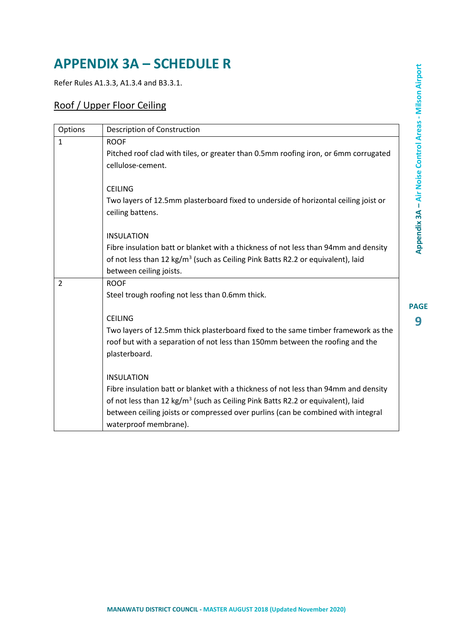# <span id="page-10-0"></span>**APPENDIX 3A – SCHEDULE R**

Refer Rules A1.3.3, A1.3.4 and B3.3.1.

#### Roof / Upper Floor Ceiling

| Options      | Description of Construction                                                                 |
|--------------|---------------------------------------------------------------------------------------------|
| $\mathbf{1}$ | <b>ROOF</b>                                                                                 |
|              | Pitched roof clad with tiles, or greater than 0.5mm roofing iron, or 6mm corrugated         |
|              | cellulose-cement.                                                                           |
|              |                                                                                             |
|              | <b>CEILING</b>                                                                              |
|              | Two layers of 12.5mm plasterboard fixed to underside of horizontal ceiling joist or         |
|              | ceiling battens.                                                                            |
|              |                                                                                             |
|              | <b>INSULATION</b>                                                                           |
|              | Fibre insulation batt or blanket with a thickness of not less than 94mm and density         |
|              | of not less than 12 kg/m <sup>3</sup> (such as Ceiling Pink Batts R2.2 or equivalent), laid |
|              | between ceiling joists.                                                                     |
| 2            | <b>ROOF</b>                                                                                 |
|              | Steel trough roofing not less than 0.6mm thick.                                             |
|              |                                                                                             |
|              | <b>CEILING</b>                                                                              |
|              | Two layers of 12.5mm thick plasterboard fixed to the same timber framework as the           |
|              | roof but with a separation of not less than 150mm between the roofing and the               |
|              | plasterboard.                                                                               |
|              |                                                                                             |
|              | <b>INSULATION</b>                                                                           |
|              | Fibre insulation batt or blanket with a thickness of not less than 94mm and density         |
|              | of not less than 12 kg/m <sup>3</sup> (such as Ceiling Pink Batts R2.2 or equivalent), laid |
|              | between ceiling joists or compressed over purlins (can be combined with integral            |
|              | waterproof membrane).                                                                       |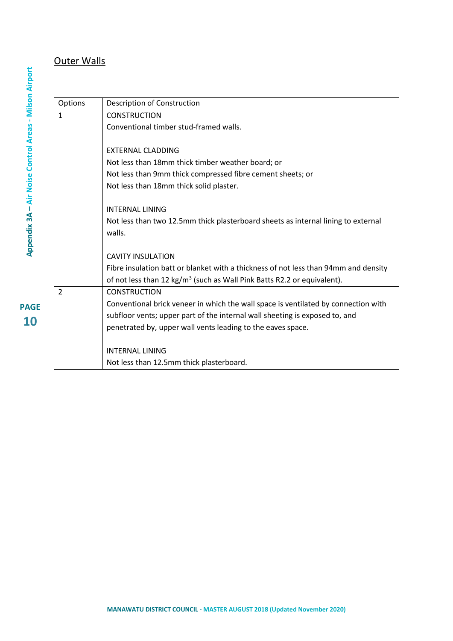#### Outer Walls

| Options      | Description of Construction                                                         |
|--------------|-------------------------------------------------------------------------------------|
| $\mathbf{1}$ | <b>CONSTRUCTION</b>                                                                 |
|              | Conventional timber stud-framed walls.                                              |
|              |                                                                                     |
|              | <b>EXTERNAL CLADDING</b>                                                            |
|              | Not less than 18mm thick timber weather board; or                                   |
|              | Not less than 9mm thick compressed fibre cement sheets; or                          |
|              | Not less than 18mm thick solid plaster.                                             |
|              |                                                                                     |
|              | <b>INTERNAL LINING</b>                                                              |
|              | Not less than two 12.5mm thick plasterboard sheets as internal lining to external   |
|              | walls.                                                                              |
|              |                                                                                     |
|              | <b>CAVITY INSULATION</b>                                                            |
|              | Fibre insulation batt or blanket with a thickness of not less than 94mm and density |
|              | of not less than 12 kg/m <sup>3</sup> (such as Wall Pink Batts R2.2 or equivalent). |
| 2            | <b>CONSTRUCTION</b>                                                                 |
|              | Conventional brick veneer in which the wall space is ventilated by connection with  |
|              | subfloor vents; upper part of the internal wall sheeting is exposed to, and         |
|              | penetrated by, upper wall vents leading to the eaves space.                         |
|              |                                                                                     |
|              | <b>INTERNAL LINING</b>                                                              |
|              | Not less than 12.5mm thick plasterboard.                                            |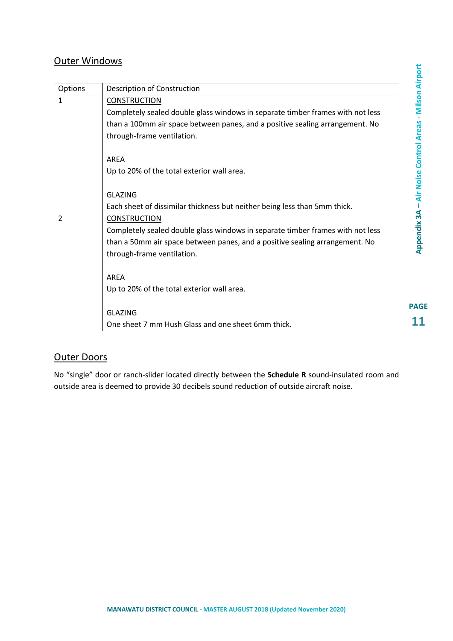#### Outer Windows

| Options        | Description of Construction                                                    | ₹                       |
|----------------|--------------------------------------------------------------------------------|-------------------------|
| $\mathbf{1}$   | <b>CONSTRUCTION</b>                                                            | Milson                  |
|                | Completely sealed double glass windows in separate timber frames with not less |                         |
|                | than a 100mm air space between panes, and a positive sealing arrangement. No   |                         |
|                | through-frame ventilation.                                                     | Air Noise Control Areas |
|                |                                                                                |                         |
|                | AREA                                                                           |                         |
|                | Up to 20% of the total exterior wall area.                                     |                         |
|                |                                                                                |                         |
|                | <b>GLAZING</b>                                                                 |                         |
|                | Each sheet of dissimilar thickness but neither being less than 5mm thick.      |                         |
| $\overline{2}$ | <b>CONSTRUCTION</b>                                                            | $\mathbf{z}$            |
|                | Completely sealed double glass windows in separate timber frames with not less |                         |
|                | than a 50mm air space between panes, and a positive sealing arrangement. No    | Appendix                |
|                | through-frame ventilation.                                                     |                         |
|                | <b>AREA</b>                                                                    |                         |
|                | Up to 20% of the total exterior wall area.                                     |                         |
|                |                                                                                |                         |
|                | <b>GLAZING</b>                                                                 | <b>PAGE</b>             |
|                | One sheet 7 mm Hush Glass and one sheet 6mm thick.                             |                         |

#### Outer Doors

No "single" door or ranch-slider located directly between the **Schedule R** sound-insulated room and outside area is deemed to provide 30 decibels sound reduction of outside aircraft noise.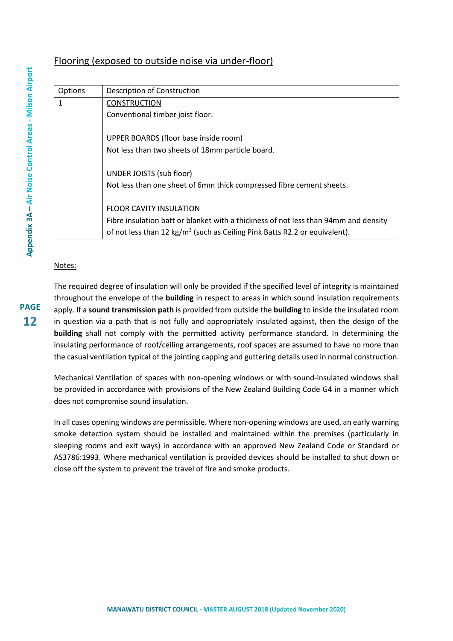#### Flooring (exposed to outside noise via under-floor)

| Options | <b>Description of Construction</b>                                                     |
|---------|----------------------------------------------------------------------------------------|
| 1       | <b>CONSTRUCTION</b>                                                                    |
|         | Conventional timber joist floor.                                                       |
|         | UPPER BOARDS (floor base inside room)                                                  |
|         | Not less than two sheets of 18mm particle board.                                       |
|         | UNDER JOISTS (sub floor)                                                               |
|         | Not less than one sheet of 6mm thick compressed fibre cement sheets.                   |
|         | <b>FLOOR CAVITY INSULATION</b>                                                         |
|         | Fibre insulation batt or blanket with a thickness of not less than 94mm and density    |
|         | of not less than 12 kg/m <sup>3</sup> (such as Ceiling Pink Batts R2.2 or equivalent). |

#### Notes:

The required degree of insulation will only be provided if the specified level of integrity is maintained throughout the envelope of the **building** in respect to areas in which sound insulation requirements apply. If a **sound transmission path** is provided from outside the **building** to inside the insulated room in question via a path that is not fully and appropriately insulated against, then the design of the **building** shall not comply with the permitted activity performance standard. In determining the insulating performance of roof/ceiling arrangements, roof spaces are assumed to have no more than the casual ventilation typical of the jointing capping and guttering details used in normal construction.

Mechanical Ventilation of spaces with non-opening windows or with sound-insulated windows shall be provided in accordance with provisions of the New Zealand Building Code G4 in a manner which does not compromise sound insulation.

In all cases opening windows are permissible. Where non-opening windows are used, an early warning smoke detection system should be installed and maintained within the premises (particularly in sleeping rooms and exit ways) in accordance with an approved New Zealand Code or Standard or AS3786:1993. Where mechanical ventilation is provided devices should be installed to shut down or close off the system to prevent the travel of fire and smoke products.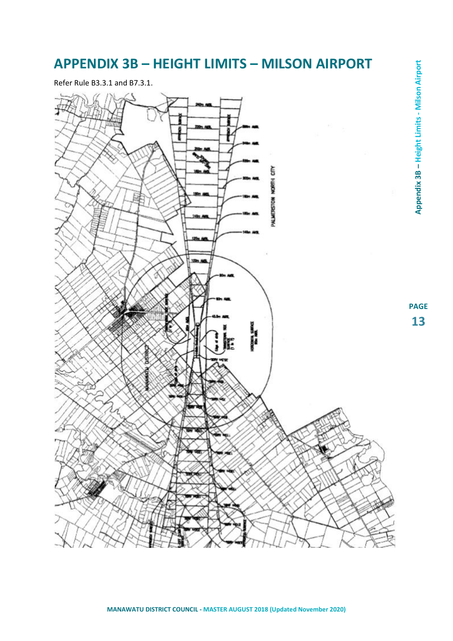## <span id="page-14-0"></span>**APPENDIX 3B – HEIGHT LIMITS – MILSON AIRPORT**

Refer Rule B3.3.1 and B7.3.1.



**13**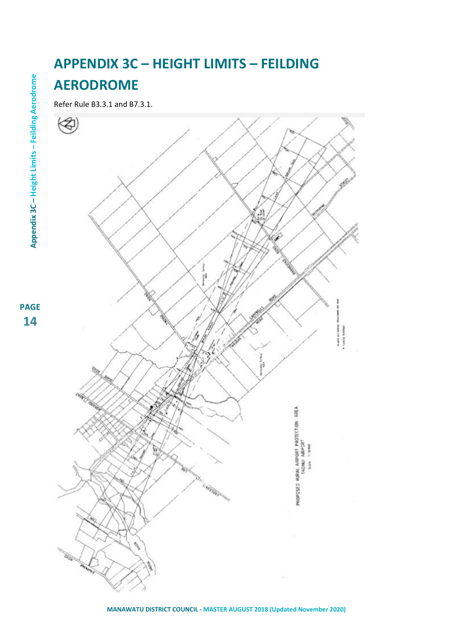14

# <span id="page-15-0"></span>**APPENDIX 3C – HEIGHT LIMITS – FEILDING**

# **AERODROME**

Refer Rule B3.3.1 and B7.3.1.



**MANAWATU DISTRICT COUNCIL - MASTER AUGUST 2018 (Updated November 2020)**